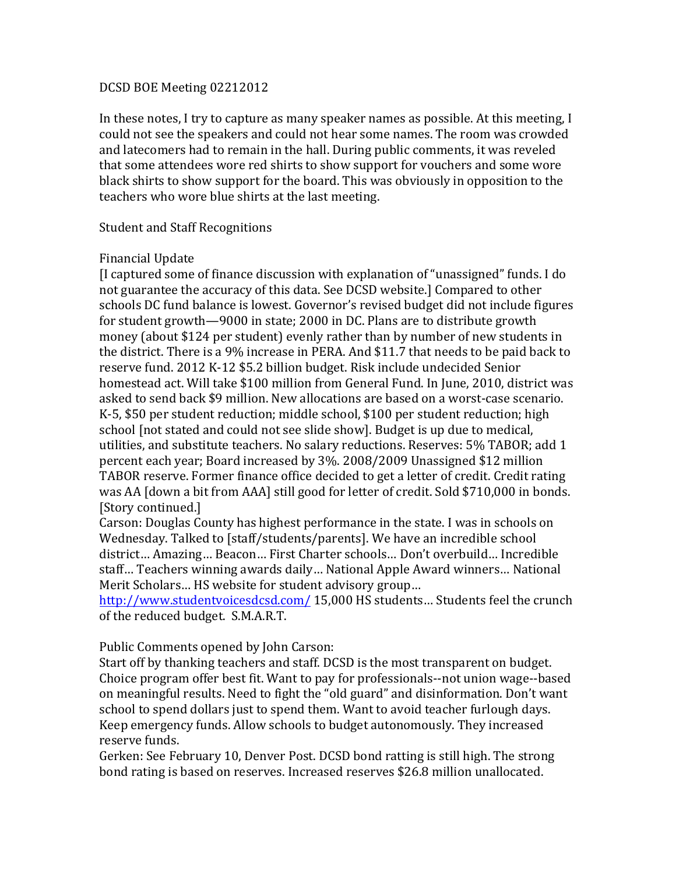## DCSD BOE Meeting 02212012

In these notes, I try to capture as many speaker names as possible. At this meeting, I could not see the speakers and could not hear some names. The room was crowded and latecomers had to remain in the hall. During public comments, it was reveled that some attendees wore red shirts to show support for vouchers and some wore black shirts to show support for the board. This was obviously in opposition to the teachers who wore blue shirts at the last meeting.

## Student and Staff Recognitions

## Financial Update

 $\overline{\phantom{a}}$  [I captured some of finance discussion with explanation of "unassigned" funds. I do not guarantee the accuracy of this data. See DCSD website.] Compared to other schools DC fund balance is lowest. Governor's revised budget did not include figures for student growth—9000 in state; 2000 in DC. Plans are to distribute growth money (about \$124 per student) evenly rather than by number of new students in the district. There is a 9% increase in PERA. And  $$11.7$  that needs to be paid back to reserve fund. 2012 K-12 \$5.2 billion budget. Risk include undecided Senior homestead act. Will take \$100 million from General Fund. In June, 2010, district was asked to send back \$9 million. New allocations are based on a worst-case scenario. K-5, \$50 per student reduction; middle school, \$100 per student reduction; high school [not stated and could not see slide show]. Budget is up due to medical, utilities, and substitute teachers. No salary reductions. Reserves: 5% TABOR; add 1 percent each year; Board increased by 3%. 2008/2009 Unassigned \$12 million TABOR reserve. Former finance office decided to get a letter of credit. Credit rating was AA [down a bit from AAA] still good for letter of credit. Sold \$710,000 in bonds. [Story continued.]

Carson: Douglas County has highest performance in the state. I was in schools on Wednesday. Talked to [staff/students/parents]. We have an incredible school district… Amazing… Beacon… First Charter schools… Don't overbuild… Incredible staff... Teachers winning awards daily... National Apple Award winners... National Merit Scholars... HS website for student advisory group...

http://www.studentvoicesdcsd.com/ 15,000 HS students... Students feel the crunch of the reduced budget. S.M.A.R.T.

Public Comments opened by John Carson:

Start off by thanking teachers and staff. DCSD is the most transparent on budget. Choice program offer best fit. Want to pay for professionals--not union wage--based on meaningful results. Need to fight the "old guard" and disinformation. Don't want school to spend dollars just to spend them. Want to avoid teacher furlough days. Keep emergency funds. Allow schools to budget autonomously. They increased reserve funds.

Gerken: See February 10, Denver Post. DCSD bond ratting is still high. The strong bond rating is based on reserves. Increased reserves \$26.8 million unallocated.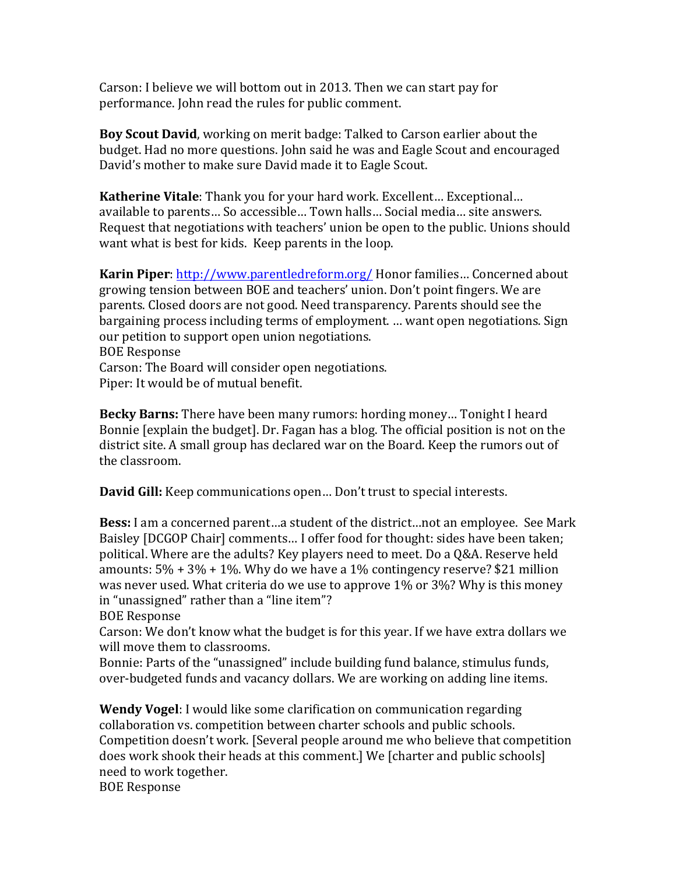Carson: I believe we will bottom out in 2013. Then we can start pay for performance. John read the rules for public comment.

**Boy Scout David**, working on merit badge: Talked to Carson earlier about the budget. Had no more questions. John said he was and Eagle Scout and encouraged David's mother to make sure David made it to Eagle Scout.

**Katherine Vitale**: Thank you for your hard work. Excellent... Exceptional... available to parents… So accessible… Town halls… Social media… site answers. Request that negotiations with teachers' union be open to the public. Unions should want what is best for kids. Keep parents in the loop.

**Karin Piper**: http://www.parentledreform.org/ Honor families... Concerned about growing tension between BOE and teachers' union. Don't point fingers. We are parents. Closed doors are not good. Need transparency. Parents should see the bargaining process including terms of employment. … want open negotiations. Sign our petition to support open union negotiations. **BOE** Response Carson: The Board will consider open negotiations.

Piper: It would be of mutual benefit.

**Becky Barns:** There have been many rumors: hording money... Tonight I heard Bonnie [explain the budget]. Dr. Fagan has a blog. The official position is not on the district site. A small group has declared war on the Board. Keep the rumors out of the classroom.

**David Gill:** Keep communications open... Don't trust to special interests.

**Bess:** I am a concerned parent...a student of the district...not an employee. See Mark Baisley [DCGOP Chair] comments... I offer food for thought: sides have been taken; political. Where are the adults? Key players need to meet. Do a O&A. Reserve held amounts:  $5\% + 3\% + 1\%$ . Why do we have a 1% contingency reserve? \$21 million was never used. What criteria do we use to approve  $1\%$  or  $3\%$ ? Why is this money in "unassigned" rather than a "line item"?

BOE Response

Carson: We don't know what the budget is for this year. If we have extra dollars we will move them to classrooms.

Bonnie: Parts of the "unassigned" include building fund balance, stimulus funds, over-budgeted funds and vacancy dollars. We are working on adding line items.

**Wendy Vogel:** I would like some clarification on communication regarding collaboration vs. competition between charter schools and public schools. Competition doesn't work. [Several people around me who believe that competition does work shook their heads at this comment.] We [charter and public schools] need to work together.

**BOE** Response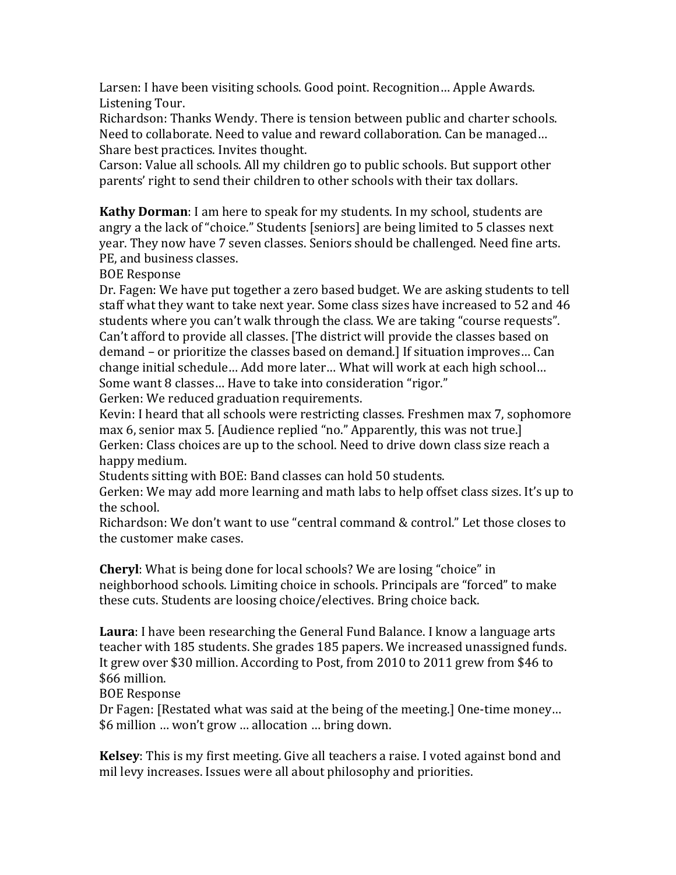Larsen: I have been visiting schools. Good point. Recognition... Apple Awards. Listening Tour.

Richardson: Thanks Wendy. There is tension between public and charter schools. Need to collaborate. Need to value and reward collaboration. Can be managed... Share best practices. Invites thought.

Carson: Value all schools. All my children go to public schools. But support other parents' right to send their children to other schools with their tax dollars.

**Kathy Dorman**: I am here to speak for my students. In my school, students are angry a the lack of "choice." Students [seniors] are being limited to 5 classes next year. They now have 7 seven classes. Seniors should be challenged. Need fine arts. PE, and business classes.

**BOE** Response

Dr. Fagen: We have put together a zero based budget. We are asking students to tell staff what they want to take next year. Some class sizes have increased to 52 and 46 students where you can't walk through the class. We are taking "course requests". Can't afford to provide all classes. [The district will provide the classes based on demand – or prioritize the classes based on demand.] If situation improves... Can change initial schedule… Add more later… What will work at each high school… Some want 8 classes... Have to take into consideration "rigor."

Gerken: We reduced graduation requirements.

Kevin: I heard that all schools were restricting classes. Freshmen max 7, sophomore max 6, senior max 5. [Audience replied "no." Apparently, this was not true.] Gerken: Class choices are up to the school. Need to drive down class size reach a happy medium.

Students sitting with BOE: Band classes can hold 50 students.

Gerken: We may add more learning and math labs to help offset class sizes. It's up to the school.

Richardson: We don't want to use "central command & control." Let those closes to the customer make cases.

**Cheryl:** What is being done for local schools? We are losing "choice" in neighborhood schools. Limiting choice in schools. Principals are "forced" to make these cuts. Students are loosing choice/electives. Bring choice back.

**Laura**: I have been researching the General Fund Balance. I know a language arts teacher with 185 students. She grades 185 papers. We increased unassigned funds. It grew over \$30 million. According to Post, from 2010 to 2011 grew from \$46 to \$66 million.

**BOE** Response

Dr Fagen: [Restated what was said at the being of the meeting.] One-time money... \$6 million … won't grow … allocation … bring down.

**Kelsey**: This is my first meeting. Give all teachers a raise. I voted against bond and mil levy increases. Issues were all about philosophy and priorities.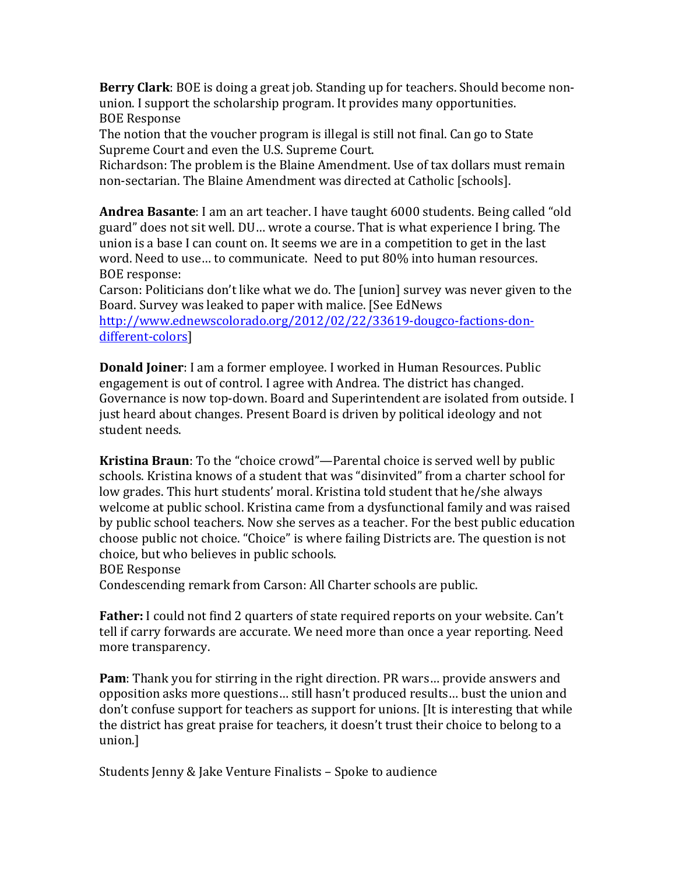**Berry Clark**: BOE is doing a great job. Standing up for teachers. Should become nonunion. I support the scholarship program. It provides many opportunities. **BOE** Response

The notion that the voucher program is illegal is still not final. Can go to State Supreme Court and even the U.S. Supreme Court.

Richardson: The problem is the Blaine Amendment. Use of tax dollars must remain non-sectarian. The Blaine Amendment was directed at Catholic [schools].

**Andrea Basante**: I am an art teacher. I have taught 6000 students. Being called "old guard" does not sit well. DU... wrote a course. That is what experience I bring. The union is a base I can count on. It seems we are in a competition to get in the last word. Need to use... to communicate. Need to put 80% into human resources. BOE response:

Carson: Politicians don't like what we do. The [union] survey was never given to the Board. Survey was leaked to paper with malice. [See EdNews]

http://www.ednewscolorado.org/2012/02/22/33619-dougco-factions-dondifferent-colors]

**Donald Joiner**: I am a former employee. I worked in Human Resources. Public engagement is out of control. I agree with Andrea. The district has changed. Governance is now top-down. Board and Superintendent are isolated from outside. I just heard about changes. Present Board is driven by political ideology and not student needs.

**Kristina Braun**: To the "choice crowd"—Parental choice is served well by public schools. Kristina knows of a student that was "disinvited" from a charter school for low grades. This hurt students' moral. Kristina told student that he/she always welcome at public school. Kristina came from a dysfunctional family and was raised by public school teachers. Now she serves as a teacher. For the best public education choose public not choice. "Choice" is where failing Districts are. The question is not choice, but who believes in public schools.

**BOE** Response

Condescending remark from Carson: All Charter schools are public.

**Father:** I could not find 2 quarters of state required reports on your website. Can't tell if carry forwards are accurate. We need more than once a year reporting. Need more transparency.

**Pam**: Thank you for stirring in the right direction. PR wars... provide answers and opposition asks more questions… still hasn't produced results… bust the union and don't confuse support for teachers as support for unions. [It is interesting that while the district has great praise for teachers, it doesn't trust their choice to belong to a union.]

Students Jenny & Jake Venture Finalists – Spoke to audience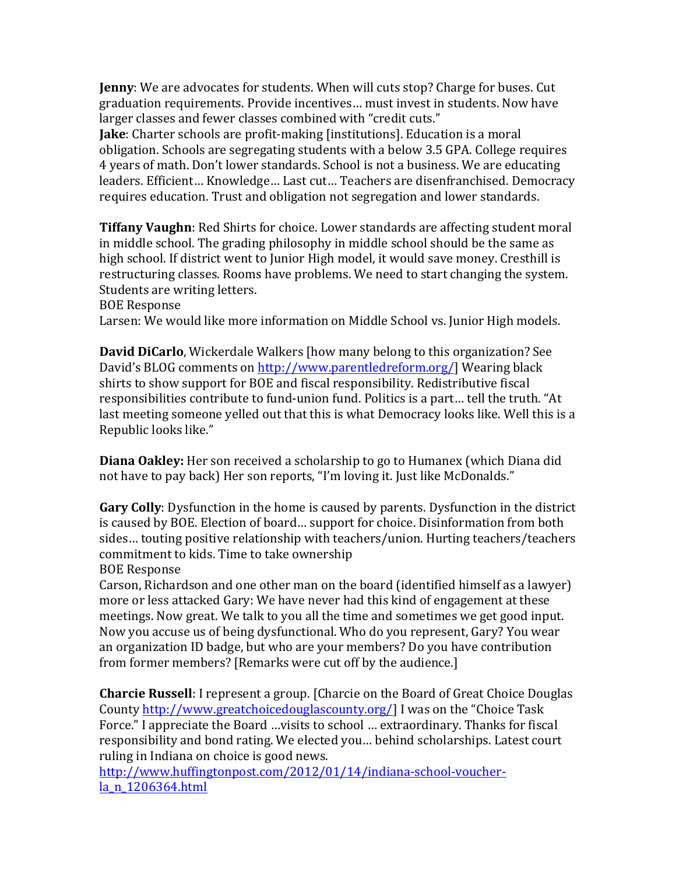**Jenny**: We are advocates for students. When will cuts stop? Charge for buses. Cut graduation requirements. Provide incentives... must invest in students. Now have larger classes and fewer classes combined with "credit cuts."

**Jake**: Charter schools are profit-making [institutions]. Education is a moral obligation. Schools are segregating students with a below 3.5 GPA. College requires 4 years of math. Don't lower standards. School is not a business. We are educating leaders. Efficient... Knowledge... Last cut... Teachers are disenfranchised. Democracy requires education. Trust and obligation not segregation and lower standards.

**Tiffany Vaughn**: Red Shirts for choice. Lower standards are affecting student moral in middle school. The grading philosophy in middle school should be the same as high school. If district went to Junior High model, it would save money. Cresthill is restructuring classes. Rooms have problems. We need to start changing the system. Students are writing letters.

**BOE** Response

Larsen: We would like more information on Middle School vs. Junior High models.

**David DiCarlo**, Wickerdale Walkers [how many belong to this organization? See David's BLOG comments on http://www.parentledreform.org/] Wearing black shirts to show support for BOE and fiscal responsibility. Redistributive fiscal responsibilities contribute to fund-union fund. Politics is a part... tell the truth. "At last meeting someone yelled out that this is what Democracy looks like. Well this is a Republic looks like."

Diana Oakley: Her son received a scholarship to go to Humanex (which Diana did not have to pay back) Her son reports, "I'm loving it. Just like McDonalds."

Gary Colly: Dysfunction in the home is caused by parents. Dysfunction in the district is caused by BOE. Election of board... support for choice. Disinformation from both sides... touting positive relationship with teachers/union. Hurting teachers/teachers commitment to kids. Time to take ownership

**BOE** Response

Carson, Richardson and one other man on the board (identified himself as a lawyer) more or less attacked Gary: We have never had this kind of engagement at these meetings. Now great. We talk to you all the time and sometimes we get good input. Now you accuse us of being dysfunctional. Who do you represent, Gary? You wear an organization ID badge, but who are your members? Do you have contribution from former members? [Remarks were cut off by the audience.]

**Charcie Russell**: I represent a group. [Charcie on the Board of Great Choice Douglas County http://www.greatchoicedouglascounty.org/] I was on the "Choice Task" Force." I appreciate the Board …visits to school … extraordinary. Thanks for fiscal responsibility and bond rating. We elected you... behind scholarships. Latest court ruling in Indiana on choice is good news.

http://www.huffingtonpost.com/2012/01/14/indiana-school-voucherla\_n\_1206364.html